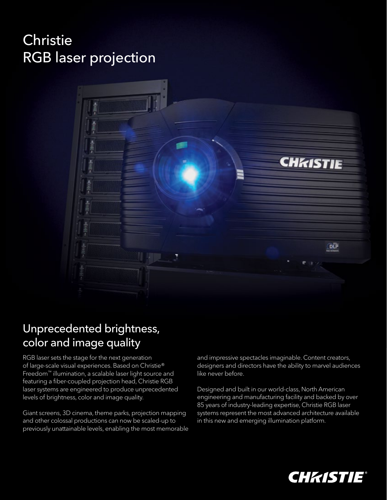### Christie RGB laser projection



### Unprecedented brightness, color and image quality

RGB laser sets the stage for the next generation of large-scale visual experiences. Based on Christie® Freedom™ illumination, a scalable laser light source and featuring a fiber-coupled projection head, Christie RGB laser systems are engineered to produce unprecedented levels of brightness, color and image quality.

Giant screens, 3D cinema, theme parks, projection mapping and other colossal productions can now be scaled-up to previously unattainable levels, enabling the most memorable and impressive spectacles imaginable. Content creators, designers and directors have the ability to marvel audiences like never before.

Designed and built in our world-class, North American engineering and manufacturing facility and backed by over 85 years of industry-leading expertise, Christie RGB laser systems represent the most advanced architecture available in this new and emerging illumination platform.

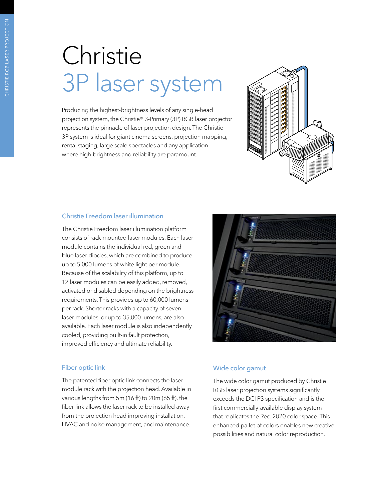## Christie 3P laser system

Producing the highest-brightness levels of any single-head projection system, the Christie® 3-Primary (3P) RGB laser projector represents the pinnacle of laser projection design. The Christie 3P system is ideal for giant cinema screens, projection mapping, rental staging, large scale spectacles and any application where high-brightness and reliability are paramount.



#### Christie Freedom laser illumination

The Christie Freedom laser illumination platform consists of rack-mounted laser modules. Each laser module contains the individual red, green and blue laser diodes, which are combined to produce up to 5,000 lumens of white light per module. Because of the scalability of this platform, up to 12 laser modules can be easily added, removed, activated or disabled depending on the brightness requirements. This provides up to 60,000 lumens per rack. Shorter racks with a capacity of seven laser modules, or up to 35,000 lumens, are also available. Each laser module is also independently cooled, providing built-in fault protection, improved efficiency and ultimate reliability.

#### Fiber optic link

The patented fiber optic link connects the laser module rack with the projection head. Available in various lengths from 5m (16 ft) to 20m (65 ft), the fiber link allows the laser rack to be installed away from the projection head improving installation, HVAC and noise management, and maintenance.



#### Wide color gamut

The wide color gamut produced by Christie RGB laser projection systems significantly exceeds the DCI P3 specification and is the first commercially-available display system that replicates the Rec. 2020 color space. This enhanced pallet of colors enables new creative possibilities and natural color reproduction.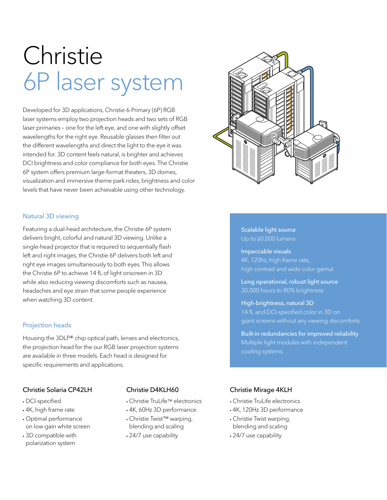# Christie 6P laser system

Developed for 3D applications, Christie 6-Primary (6P) RGB laser systems employ two projection heads and two sets of RGB laser primaries – one for the left eye, and one with slightly offset wavelengths for the right eye. Reusable glasses then filter out the different wavelengths and direct the light to the eye it was intended for. 3D content feels natural, is brighter and achieves DCI brightness and color compliance for both eyes. The Christie 6P system offers premium large-format theaters, 3D domes, visualization and immersive theme park rides, brightness and color levels that have never been achievable using other technology.

#### Natural 3D viewing

Featuring a dual-head architecture, the Christie 6P system delivers bright, colorful and natural 3D viewing. Unlike a single-head projector that is required to sequentially flash left and right images, the Christie 6P delivers both left and right eye images simultaneously to both eyes. This allows the Christie 6P to achieve 14 fL of light onscreen in 3D while also reducing viewing discomforts such as nausea, headaches and eye strain that some people experience when watching 3D content.

#### Projection heads

Housing the 3DLP® chip optical path, lenses and electronics, the projection head for the our RGB laser projection systems are available in three models. Each head is designed for specific requirements and applications.

#### Christie Solaria CP42LH

- DCI-specified
- 4K, high frame rate
- Optimal performance on low-gain white screen
- 3D compatible with polarization system

#### Christie D4KLH60

- Christie TruLife™ electronics
- 4K, 60Hz 3D performance
- Christie Twist™ warping, blending and scaling
- 24/7 use capability



#### Scalable light source Up to 60,000 lumens

#### Impeccable visuals

4K, 120hz, high frame rate, high contrast and wide color gamut

Long operational, robust light source 30,000 hours to 80% brightness

#### High-brightness, natural 3D

14 fL and DCI-specified color in 3D on

Built-in redundancies for improved reliability Multiple light modules with independent

#### Christie Mirage 4KLH

- Christie TruLife electronics
- 4K, 120Hz 3D performance
- Christie Twist warping, blending and scaling
- 24/7 use capability